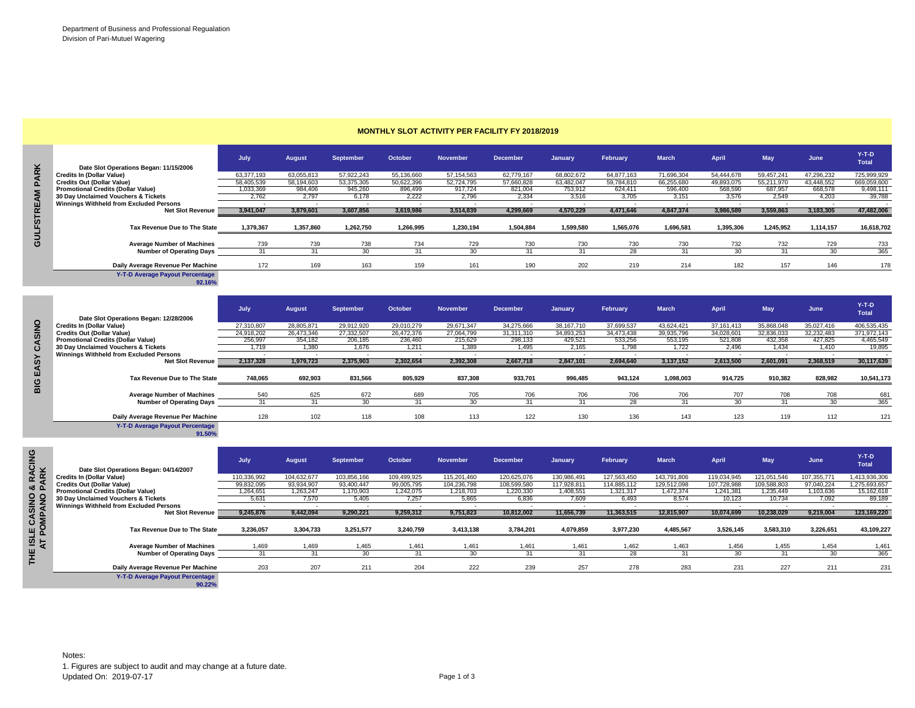|  | <b>MONTHLY SLOT ACTIVITY PER FACILITY FY 2018/2019</b> |  |  |
|--|--------------------------------------------------------|--|--|
|--|--------------------------------------------------------|--|--|

|                |                                           | July       | <b>August</b> | <b>September</b> | October    | <b>November</b> | <b>December</b> | January    | February   | <b>March</b> | April      | <b>May</b> | June       | $Y-T-D$<br><b>Total</b> |
|----------------|-------------------------------------------|------------|---------------|------------------|------------|-----------------|-----------------|------------|------------|--------------|------------|------------|------------|-------------------------|
| <b>ARK</b>     | Date Slot Operations Began: 11/15/2006    |            |               |                  |            |                 |                 |            |            |              |            |            |            |                         |
|                | <b>Credits In (Dollar Value)</b>          | 63,377,193 | 63.055.813    | 57,922,243       | 55.136.660 | 57.154.563      | 62.779.167      | 68.802.672 | 64.877.163 | 71.696.304   | 54.444.678 | 59.457.241 | 47.296.232 | 725,999,929             |
| $\mathbf{a}$   | <b>Credits Out (Dollar Value)</b>         | 58,405,539 | 58,194,603    | 53,375,305       | 50,622,396 | 52,724,795      | 57,660,828      | 63,482,047 | 59,784,810 | 66,255,680   | 49,893,075 | 55,211,970 | 43,448,552 | 669,059,600             |
| $\overline{ }$ | <b>Promotional Credits (Dollar Value)</b> | 1,033,369  | 984,406       | 945,260          | 896,499    | 917,724         | 821,004         | 753,912    | 624.411    | 596,400      | 568,590    | 687,957    | 668,578    | 9,498,111               |
|                | 30 Day Unclaimed Vouchers & Tickets       | 2.762      | 2.797         | 6.178            | 2.222      | 2.796           | 2.334           | 3.516      | 3.705      | 3.151        | 3.576      | 2.549      | 4.203      | 39,788                  |
|                | Winnings Withheld from Excluded Persons   |            |               |                  |            |                 |                 |            |            |              |            |            |            |                         |
|                | <b>Net Slot Revenue</b>                   | 3,941,047  | 3,879,601     | 3,607,856        | 3,619,986  | 3,514,839       | 4,299,669       | 4,570,229  | 4,471,646  | 4,847,374    | 3,986,589  | 3,559,863  | 3,183,305  | 47,482,006              |
| GULFSTRE       | Tax Revenue Due to The State              | 1,379,367  | 1,357,860     | 1,262,750        | 1,266,995  | 1,230,194       | 1,504,884       | 1,599,580  | 1,565,076  | 1,696,581    | 1,395,306  | 1,245,952  | 1,114,157  | 16,618,702              |
|                | <b>Average Number of Machines</b>         | 739        | 739           | 738              | 734        | 729             | 730             | 730        | 730        | 730          | 732        | 732        | 729        | 733                     |
|                | <b>Number of Operating Days</b>           | 31         |               | 30               |            | 30              | 31              | 31         | 28         |              | 30         | 31         | 30         | 365                     |
|                | Daily Average Revenue Per Machine         | 172        | 169           | 163              | 159        | 161             | 190             | 202        | 219        | 214          | 182        | 157        | 146        | 178                     |
|                | <b>Y-T-D Average Payout Percentage</b>    |            |               |                  |            |                 |                 |            |            |              |            |            |            |                         |

|              | Date Slot Operations Began: 11/15/2006         |                          |                          |                  |                |                 |                 |                |                 |              |                          |                          |             | Total         |
|--------------|------------------------------------------------|--------------------------|--------------------------|------------------|----------------|-----------------|-----------------|----------------|-----------------|--------------|--------------------------|--------------------------|-------------|---------------|
|              | <b>Credits In (Dollar Value)</b>               | 63,377,193               | 63,055,813               | 57.922.243       | 55,136,660     | 57, 154, 563    | 62,779,167      | 68.802.672     | 64.877.163      | 71.696.304   | 54.444.678               | 59,457,241               | 47.296.232  | 725.999.929   |
|              | <b>Credits Out (Dollar Value)</b>              | 58.405.539               | 58,194,603               | 53.375.305       | 50.622.396     | 52,724,795      | 57.660.828      | 63.482.047     | 59,784,810      | 66,255,680   | 49.893.075               | 55,211,970               | 43,448,552  | 669,059,600   |
|              | <b>Promotional Credits (Dollar Value)</b>      | 1,033,369                | 984,406                  | 945,260          | 896,499        | 917,724         | 821,004         | 753,912        | 624,411         | 596,400      | 568,590                  | 687,957                  | 668,578     | 9,498,111     |
|              | 30 Day Unclaimed Vouchers & Tickets            | 2,762                    | 2.797                    | 6,178            | 2.222          | 2.796           | 2.334           | 3,516          | 3,705           | 3,151        | 3.576                    | 2.549                    | 4.203       | 39,788        |
|              | <b>Winnings Withheld from Excluded Persons</b> | ۰.                       | $\sim$                   | $\sim$           | <b>.</b>       |                 | $\sim$          | $\sim$         | . .             | ۰.           | $\sim$                   | ۰.                       | $\sim$      |               |
|              | <b>Net Slot Revenue</b>                        | 3,941,047                | 3,879,601                | 3,607,856        | 3,619,986      | 3,514,839       | 4,299,669       | 4,570,229      | 4,471,646       | 4,847,374    | 3,986,589                | 3,559,863                | 3,183,305   | 47,482,006    |
|              |                                                |                          |                          |                  |                |                 |                 |                |                 |              |                          |                          |             |               |
|              | Tax Revenue Due to The State                   | 1,379,367                | 1,357,860                | 1,262,750        | 1,266,995      | 1,230,194       | 1,504,884       | 1,599,580      | 1,565,076       | 1,696,581    | 1,395,306                | 1,245,952                | 1,114,157   | 16,618,702    |
|              |                                                |                          |                          |                  |                |                 |                 |                |                 |              |                          |                          |             |               |
| m<br>S       | <b>Average Number of Machines</b>              | 739                      | 739                      | 738              | 734            | 729             | 730             | 730            | 730             | 730          | 732                      | 732                      | 729         | 733           |
|              | <b>Number of Operating Days</b>                | 31                       | 31                       | 30               | 31             | 30              | 31              | 31             | 28              | 31           | 30                       | 31                       | 30          | 365           |
|              |                                                |                          |                          |                  |                |                 |                 |                |                 |              |                          |                          |             |               |
|              | Daily Average Revenue Per Machine              | 172                      | 169                      | 163              | 159            | 161             | 190             | 202            | 219             | 214          | 182                      | 157                      | 146         | 178           |
|              | Y-T-D Average Payout Percentage                |                          |                          |                  |                |                 |                 |                |                 |              |                          |                          |             |               |
|              | 92.16%                                         |                          |                          |                  |                |                 |                 |                |                 |              |                          |                          |             |               |
|              |                                                |                          |                          |                  |                |                 |                 |                |                 |              |                          |                          |             |               |
|              |                                                | July                     | <b>August</b>            | <b>September</b> | <b>October</b> | <b>November</b> | <b>December</b> | <b>January</b> | <b>February</b> | <b>March</b> | April                    | May                      | June        | $Y-T-D$       |
|              | Date Slot Operations Began: 12/28/2006         |                          |                          |                  |                |                 |                 |                |                 |              |                          |                          |             | Total         |
| O            | <b>Credits In (Dollar Value)</b>               | 27,310,807               | 28,805,871               | 29,912,920       | 29,010,279     | 29,671,347      | 34,275,666      | 38.167.710     | 37,699,537      | 43.624.421   | 37, 161, 413             | 35,868,048               | 35,027,416  | 406,535,435   |
|              | <b>Credits Out (Dollar Value)</b>              | 24,918,202               | 26,473,346               | 27,332,507       | 26,472,376     | 27,064,799      | 31,311,310      | 34,893,253     | 34,473,438      | 39,935,796   | 34,028,601               | 32,836,033               | 32,232,483  | 371,972,143   |
|              | <b>Promotional Credits (Dollar Value)</b>      | 256,997                  | 354,182                  | 206,185          | 236,460        | 215,629         | 298,133         | 429,521        | 533,256         | 553,195      | 521,808                  | 432,358                  | 427.825     | 4,465,549     |
|              | 30 Day Unclaimed Vouchers & Tickets            | 1,719                    | 1,380                    | 1,676            | 1,211          | 1,389           | 1,495           | 2,165          | 1,798           | 1,722        | 2,496                    | 1,434                    | 1,410       | 19,895        |
|              | <b>Winnings Withheld from Excluded Persons</b> | ٠.                       |                          |                  |                |                 | $\sim$          |                |                 |              |                          |                          |             |               |
|              | <b>Net Slot Revenue</b>                        | 2,137,328                | 1,979,723                | 2,375,903        | 2,302,654      | 2,392,308       | 2,667,718       | 2,847,101      | 2,694,640       | 3,137,152    | 2.613.500                | 2.601.091                | 2.368.519   | 30,117,639    |
|              |                                                |                          |                          |                  |                |                 |                 |                |                 |              |                          |                          |             |               |
|              |                                                |                          |                          |                  |                |                 |                 |                |                 |              |                          |                          |             |               |
|              |                                                |                          |                          |                  |                |                 |                 |                |                 |              |                          |                          |             |               |
|              | Tax Revenue Due to The State                   | 748,065                  | 692.903                  | 831,566          | 805,929        | 837,308         | 933,701         | 996,485        | 943,124         | 1,098,003    | 914,725                  | 910.382                  | 828.982     | 10,541,173    |
|              |                                                |                          |                          |                  |                |                 |                 |                |                 |              |                          |                          |             |               |
|              | <b>Average Number of Machines</b>              | 540                      | 625                      | 672              | 689            | 705             | 706             | 706            | 706             | 706          | 707                      | 708                      | 708         | 681           |
|              | <b>Number of Operating Days</b>                | 31                       | 31                       | 30               | 31             | 30              | 31              | 31             | 28              | 31           | 30                       | 31                       | 30          | 365           |
|              | Daily Average Revenue Per Machine              | 128                      | 102                      | 118              | 108            | 113             | 122             | 130            | 136             | 143          | 123                      | 119                      | 112         | 121           |
|              | Y-T-D Average Payout Percentage                |                          |                          |                  |                |                 |                 |                |                 |              |                          |                          |             |               |
|              | 91.50%                                         |                          |                          |                  |                |                 |                 |                |                 |              |                          |                          |             |               |
|              |                                                |                          |                          |                  |                |                 |                 |                |                 |              |                          |                          |             |               |
|              |                                                |                          |                          |                  |                |                 |                 |                |                 |              |                          |                          |             | Y-T-D         |
|              |                                                | July                     | <b>August</b>            | <b>September</b> | <b>October</b> | <b>November</b> | <b>December</b> | January        | February        | <b>March</b> | <b>April</b>             | May                      | June        | Total         |
|              | Date Slot Operations Began: 04/14/2007         |                          |                          |                  |                |                 |                 |                |                 |              |                          |                          |             |               |
| RK           | <b>Credits In (Dollar Value)</b>               | 110.336.992              | 104.632.677              | 103.856.166      | 109.499.925    | 115.201.460     | 120.625.076     | 130.986.491    | 127.563.450     | 143.791.806  | 119.034.945              | 121.051.546              | 107.355.771 | 1.413.936.306 |
| $\mathbf{a}$ | <b>Credits Out (Dollar Value)</b>              | 99,832,095               | 93,934,907               | 93,400,447       | 99,005,795     | 104,236,798     | 108,599,580     | 117,928,811    | 114,885,112     | 129,512,098  | 107,728,988              | 109,588,803              | 97,040,224  | 1,275,693,657 |
|              | <b>Promotional Credits (Dollar Value)</b>      | 1.264.651                | 1.263.247                | 1.170.903        | 1,242,075      | 1,218,703       | 1.220.330       | 1.408.551      | 1.321.317       | 1,472,374    | 1.241.381                | 1.235.449                | 1.103.636   | 15,162,618    |
|              | 30 Day Unclaimed Vouchers & Tickets            | 5,631                    | 7,570                    | 5,405            | 7,257          | 5,865           | 6,836           | 7,609          | 6,493           | 8,574        | 10,123                   | 10,734                   | 7,092       | 89,189        |
|              | <b>Winnings Withheld from Excluded Persons</b> | $\overline{\phantom{a}}$ | $\overline{\phantom{a}}$ | $\sim$           | $\sim$         | $\sim$          | $\sim$          | $\sim$         | $\sim$          | $\sim$       | $\overline{\phantom{a}}$ | $\overline{\phantom{a}}$ | ٠.          |               |
|              | <b>Net Slot Revenue</b>                        | 9,245,876                | 9.442.094                | 9.290.221        | 9,259,312      | 9,751,823       | 10.812.002      | 11.656.739     | 11.363.515      | 12,815,907   | 10,074,699               | 10.238.029               | 9,219,004   | 123,169,220   |
|              |                                                |                          |                          |                  |                |                 |                 |                |                 |              |                          |                          |             |               |
|              | Tax Revenue Due to The State                   | 3.236.057                | 3.304.733                | 3,251,577        | 3,240,759      | 3,413,138       | 3,784,201       | 4,079,859      | 3.977.230       | 4.485.567    | 3.526.145                | 3,583,310                | 3.226.651   | 43,109,227    |
| POMPANO<br>5 | <b>Average Number of Machines</b>              | 1,469                    | 1,469                    | 1,465            | 1,461          | 1,461           | 1,461           | 1,461          | 1,462           | 1,463        | 1,456                    | 1,455                    | 1,454       | 1,461         |

**Contract Contract** 

| ග                    |                                                | July        | <b>August</b> | <b>September</b> | October     | <b>November</b> | <b>December</b> | January     | <b>February</b> | <b>March</b> | April       | May         | June        | $Y-T-D$<br><b>Total</b> |
|----------------------|------------------------------------------------|-------------|---------------|------------------|-------------|-----------------|-----------------|-------------|-----------------|--------------|-------------|-------------|-------------|-------------------------|
| RACI<br>VRK          | Date Slot Operations Began: 04/14/2007         |             |               |                  |             |                 |                 |             |                 |              |             |             |             |                         |
|                      | <b>Credits In (Dollar Value)</b>               | 110,336,992 | 104,632,677   | 103,856,166      | 109,499,925 | 115,201,460     | 120,625,076     | 130,986,491 | 127,563,450     | 143,791,806  | 119,034,945 | 121,051,546 | 107,355,771 | 1,413,936,306           |
| ങമ                   | <b>Credits Out (Dollar Value)</b>              | 99,832,095  | 93,934,907    | 93,400,447       | 99,005,795  | 104,236,798     | 108,599,580     | 117,928,811 | 114,885,112     | 129,512,098  | 107,728,988 | 109,588,803 | 97,040,224  | 1,275,693,657           |
|                      | <b>Promotional Credits (Dollar Value)</b>      | 1,264,651   | 1.263.247     | 1,170,903        | 1,242,075   | 1,218,703       | 1,220,330       | 1,408,551   | 1,321,317       | 1,472,374    | 1,241,381   | 1,235,449   | ,103,636    | 15,162,618              |
|                      | 30 Day Unclaimed Vouchers & Tickets            | 5,63'       | 7,570         | 5,405            | 7,257       | 5,865           | 6,836           | 7,609       | 6,493           | 8,574        | 10.123      | 10.734      | 7.092       | 89,189                  |
|                      | <b>Winnings Withheld from Excluded Persons</b> |             |               |                  |             |                 |                 |             |                 |              |             |             |             |                         |
|                      | <b>Net Slot Revenue</b>                        | 9,245,876   | 9,442,094     | 9,290,221        | 9,259,312   | 9,751,823       | 10,812,002      | 11,656,739  | 11,363,515      | 12,815,907   | 10,074,699  | 10,238,029  | 9,219,004   | 123,169,220             |
| LE CASINO<br>POMPANO | Tax Revenue Due to The State                   | 3,236,057   | 3,304,733     | 3,251,577        | 3,240,759   | 3,413,138       | 3,784,201       | 4,079,859   | 3,977,230       | 4,485,567    | 3,526,145   | 3,583,310   | 3,226,651   | 43,109,227              |
| 학교                   | <b>Average Number of Machines</b>              | 1.469       | 1.469         | .465             | 1.461       | 1.461           | .461            | 1.461       | 1.462           | 1.463        | 1.456       | .455        | 1.454       | 1,461                   |
| 쀤                    | <b>Number of Operating Days</b>                |             | $\sim$        | $\sim$           | $\sim$      | 30              |                 | $\sim$      | 28              |              | 30          | 31          | 30          | 365                     |
| Ξ.                   | Daily Average Revenue Per Machine              | 203         | 207           | 211              | 204         | 222             | 239             | 257         | 278             | 283          | 231         | 227         | 211         | 231                     |
|                      | <b>Y-T-D Average Pavout Percentage</b>         |             |               |                  |             |                 |                 |             |                 |              |             |             |             |                         |

**Y-T-D Average Payout Percentage 90.22%**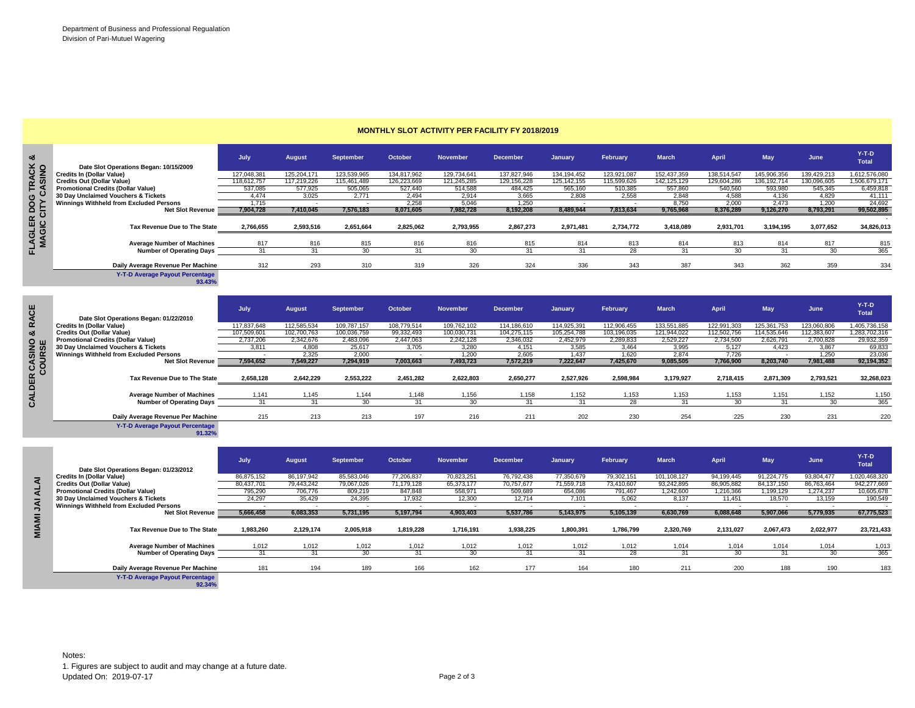**FLAGLER DOG TRACK &** 

FLAGLER DOG TRACK &

c e

CACINIO<sub>0</sub>

|                                                  | July        | <b>August</b> | <b>September</b> | October     | <b>November</b> | <b>December</b> | January       | February    | <b>March</b>  | April       | <b>May</b>    | June        | $Y-T-D$<br><b>Total</b> |
|--------------------------------------------------|-------------|---------------|------------------|-------------|-----------------|-----------------|---------------|-------------|---------------|-------------|---------------|-------------|-------------------------|
| Date Slot Operations Began: 10/15/2009           |             |               |                  |             |                 |                 |               |             |               |             |               |             |                         |
| <b>Credits In (Dollar Value)</b>                 | 127,048,381 | 125,204,171   | 123,539,965      | 134,817,962 | 129,734,641     | 137,827,946     | 134, 194, 452 | 123,921,087 | 152,437,359   | 138,514,547 | 145,906,356   | 139,429,213 | 1,612,576,080           |
| <b>Credits Out (Dollar Value)</b>                | 118,612,757 | 117,219,226   | 115,461,489      | 126,223,669 | 121,245,285     | 129,156,228     | 125, 142, 155 | 115,599,626 | 142, 125, 129 | 129,604,286 | 136, 192, 714 | 130,096,605 | 1,506,679,171           |
| <b>Promotional Credits (Dollar Value)</b>        | 537,085     | 577,925       | 505,065          | 527,440     | 514,588         | 484,425         | 565,160       | 510,385     | 557,860       | 540,560     | 593,980       | 545,345     | 6,459,818               |
| 30 Day Unclaimed Vouchers & Tickets              | 4.474       | 3.025         | 2.771            | 2.494       | 2,914           | 3,665           | 2.808         | 2,558       | 2.848         | 4.588       | 4.136         | 4.829       | 41.111                  |
| Winnings Withheld from Excluded Persons          | 1.715       |               |                  | 2.258       | 5,046           | 1.250           |               |             | 8.750         | 2.000       | 2.473         | 1.200       | 24,692                  |
| <b>Net Slot Revenue</b>                          | 7,904,728   | 7,410,045     | 7,576,183        | 8,071,605   | 7,982,728       | 8,192,208       | 8,489,944     | 7,813,634   | 9,765,968     | 8,376,289   | 9,126,270     | 8,793,291   | 99,502,895              |
| Tax Revenue Due to The State                     | 2,766,655   | 2,593,516     | 2.651.664        | 2.825.062   | 2,793,955       | 2,867,273       | 2,971,481     | 2.734.772   | 3,418,089     | 2,931,701   | 3,194,195     | 3,077,652   | 34,826,013              |
| <b>Average Number of Machines</b>                | 817         | 816           | 815              | 816         | 816             | 815             | 814           | 813         | 814           | 813         | 814           | 817         | 815                     |
| <b>Number of Operating Days</b>                  | 31          | 31            | 30               | 31          | 30              | 31              | 31            | 28          | 31            | 30          | 31            | 30          | 365                     |
| Daily Average Revenue Per Machine                | 312         | 293           | 310              | 319         | 326             | 324             | 336           | 343         | 387           | 343         | 362           | 359         | 334                     |
| <b>Y-T-D Average Payout Percentage</b><br>93.43% |             |               |                  |             |                 |                 |               |             |               |             |               |             |                         |

## **MONTHLY SLOT ACTIVITY PER FACILITY FY 2018/2019**

| ош<br>ž ō<br><b>SUR</b><br>Õ | Date Slot Operations Began: 01/22/2010<br><b>Credits In (Dollar Value)</b><br><b>Credits Out (Dollar Value)</b><br><b>Promotional Credits (Dollar Value)</b><br>30 Day Unclaimed Vouchers & Tickets<br>Winnings Withheld from Excluded Persons<br><b>Net Slot Revenue</b><br>Tax Revenue Due to The State<br><b>Average Number of Machines</b> | July<br>117,837,648<br>107,509,601<br>2,737,206<br>3,811<br>7,594,652<br>2,658,128<br>1,141 | <b>August</b><br>112,585,534<br>102,700,763<br>2,342,676<br>4,808<br>2.325<br>7,549,227<br>2,642,229<br>1,145 | <b>September</b><br>109,787,157<br>100,036,759<br>2,483,096<br>25,617<br>2.000<br>7,294,919<br>2,553,222<br>1.144 | October<br>108,779,514<br>99.332.493<br>2,447,063<br>3,705<br>7,003,663<br>2,451,282<br>1,148 | <b>November</b><br>109,762,102<br>100,030,731<br>2,242,128<br>3,280<br>1.200<br>7,493,723<br>2,622,803<br>1,156 | <b>December</b><br>114,186,610<br>104.275.115<br>2,346,032<br>4,151<br>2.605<br>7,572,219<br>2,650,277<br>1,158 | January<br>114,925,391<br>105.254.788<br>2,452,979<br>3.585<br>1.437<br>7,222,647<br>2,527,926<br>1,152 | February<br>112,906,455<br>103,196,035<br>2,289,833<br>3,464<br>1.620<br>7,425,670<br>2,598,984<br>1,153 | <b>March</b><br>133,551,885<br>121.944.022<br>2,529,227<br>3,995<br>2.874<br>9,085,505<br>3,179,927<br>1,153 | <b>April</b><br>122,991,303<br>112,502,756<br>2,734,500<br>5.127<br>7.726<br>7,766,900<br>2,718,415<br>1,153 | May<br>125,361,753<br>114,535,646<br>2,626,791<br>4.423<br>8,203,740<br>2,871,309<br>1,151 | June<br>123,060,806<br>112,383,607<br>2,700,828<br>3.867<br>1.250<br>7,981,488<br>2,793,521<br>1,152 | $Y-T-D$<br><b>Total</b><br>1,405,736,158<br>1,283,702,316<br>29,932,359<br>69,833<br>23,036<br>92,194,352<br>32,268,023<br>1,150 |
|------------------------------|------------------------------------------------------------------------------------------------------------------------------------------------------------------------------------------------------------------------------------------------------------------------------------------------------------------------------------------------|---------------------------------------------------------------------------------------------|---------------------------------------------------------------------------------------------------------------|-------------------------------------------------------------------------------------------------------------------|-----------------------------------------------------------------------------------------------|-----------------------------------------------------------------------------------------------------------------|-----------------------------------------------------------------------------------------------------------------|---------------------------------------------------------------------------------------------------------|----------------------------------------------------------------------------------------------------------|--------------------------------------------------------------------------------------------------------------|--------------------------------------------------------------------------------------------------------------|--------------------------------------------------------------------------------------------|------------------------------------------------------------------------------------------------------|----------------------------------------------------------------------------------------------------------------------------------|
|                              | <b>Number of Operating Days</b>                                                                                                                                                                                                                                                                                                                | 31                                                                                          | 31                                                                                                            | 30 <sup>2</sup>                                                                                                   | 31                                                                                            | 30 <sup>2</sup>                                                                                                 | 31                                                                                                              | 31                                                                                                      | 28                                                                                                       | 31                                                                                                           | 30 <sup>2</sup>                                                                                              | 31                                                                                         | 30                                                                                                   | 365                                                                                                                              |
|                              | Daily Average Revenue Per Machine<br>Y-T-D Average Payout Percentage<br>91.32%                                                                                                                                                                                                                                                                 | 215                                                                                         | 213                                                                                                           | 213                                                                                                               | 197                                                                                           | 216                                                                                                             | 211                                                                                                             | 202                                                                                                     | 230                                                                                                      | 254                                                                                                          | 225                                                                                                          | 230                                                                                        | 231                                                                                                  | 220                                                                                                                              |
|                              | Date Slot Operations Began: 01/23/2012                                                                                                                                                                                                                                                                                                         | July                                                                                        | August                                                                                                        | September                                                                                                         | October                                                                                       | <b>November</b>                                                                                                 | <b>December</b>                                                                                                 | <b>January</b>                                                                                          | February                                                                                                 | <b>March</b>                                                                                                 | April                                                                                                        | May                                                                                        | June                                                                                                 | $Y-T-D$<br><b>Total</b>                                                                                                          |
| ΝJ<br>⋖<br>$\overline{4}$    | <b>Credits In (Dollar Value)</b><br><b>Credits Out (Dollar Value)</b><br><b>Promotional Credits (Dollar Value)</b><br>30 Day Unclaimed Vouchers & Tickets<br>Winnings Withheld from Excluded Persons                                                                                                                                           | 86,875,152<br>80,437,701<br>795.290<br>24,297                                               | 86,197,942<br>79,443,242<br>706.776<br>35,429                                                                 | 85,583,046<br>79,067,026<br>809.219<br>24,395                                                                     | 77,206,837<br>71,179,128<br>847.848<br>17,932                                                 | 70,823,251<br>65,373,177<br>558.971<br>12,300                                                                   | 76,792,438<br>70,757,677<br>509.689<br>12.714                                                                   | 77,350,679<br>71,559,718<br>654.086<br>7,101                                                            | 79,302,151<br>73,410,607<br>791.467<br>5,062                                                             | 101,108,127<br>93,242,895<br>1.242.600<br>8,137                                                              | 94,199,445<br>86,905,882<br>1.216.366<br>11.451                                                              | 91,224,775<br>84, 137, 150<br>1.199.129<br>18,570                                          | 93,804,477<br>86,763,464<br>1.274.237<br>13,159                                                      | 1,020,468,320<br>942,277,669<br>10,605,678<br>190,549                                                                            |
|                              | <b>Net Slot Revenue</b>                                                                                                                                                                                                                                                                                                                        | 5,666,458                                                                                   | 6,083,353                                                                                                     | 5,731,195                                                                                                         | 5,197,794                                                                                     | 4,903,403                                                                                                       | 5,537,786                                                                                                       | 5,143,975                                                                                               | 5,105,139                                                                                                | 6,630,769                                                                                                    | 6,088,648                                                                                                    | 5,907,066                                                                                  | 5,779,935                                                                                            | 67,775,523                                                                                                                       |
| <b>MIAMI</b>                 | Tax Revenue Due to The State                                                                                                                                                                                                                                                                                                                   | 1,983,260                                                                                   | 2,129,174                                                                                                     | 2,005,918                                                                                                         | 1,819,228                                                                                     | 1,716,191                                                                                                       | 1,938,225                                                                                                       | 1,800,391                                                                                               | 1,786,799                                                                                                | 2,320,769                                                                                                    | 2,131,027                                                                                                    | 2,067,473                                                                                  | 2,022,977                                                                                            | 23,721,433                                                                                                                       |

 **July August September October November December January February March April May June Y-T-D Total Date Slot Operations Began: 01/23/2012 Credits In (Dollar Value)** 86,875,152 86,197,942 85,583,046 77,206,837 70,823,251 76,792,438 77,350,679 79,302,151 101,108,127 94,199,445 91,224,775 93,804,477 1,020,468,320 **ALAI Credits Out (Dollar Value)** 80,437,701 79,443,242 79,067,026 71,179,128 65,373,177 70,757,677 71,559,718 73,410,607 93,242,895 86,905,882 84,137,150 86,763,464 942,277,669 Promotional Credits (Dollar Value) **795,290** 706,776 809,219 847,848 558,971 509,689 654,086 791,467 1,242,600 1,216,366 1,199,129 1,274,237 10,605,678<br>**30 Day Unclaimed Vouchers & Tickets** 24,297 35,429 24,395 17,932 12,3  **30 Day Unclaimed Vouchers & Tickets** 24,297 35,429 24,395 17,932 12,300 12,714 7,101 5,062 8,137 11,451 18,570 13,159 190,549  **Winnings Withheld from Excluded Persons** - - - - - - - - - - - - -  $\overline{\mathsf{A}}$ MIAMI **Net Slot Revenue 5,666,458 6,083,353 5,731,195 5,197,794 4,903,403 5,537,786 5,143,975 5,105,139 6,630,769 6,088,648 5,907,066 5,779,935 67,775,523 Tax Revenue Due to The State 1,983,260 2,129,174 2,005,918 1,819,228 1,716,191 1,938,225 1,800,391 1,786,799 2,320,769 2,131,027 2,067,473 2,022,977 23,721,433 Average Number of Machines** 1,012 1,012 1,012 1,012 1,012 1,012 1,012 1,012 1,014 1,014 1,014 1,014 1,013 **Number of Operating Days 31** 31 31 30 31 30 31 31 31 328 31 30 31 30 365 **Daily Average Revenue Per Machine** 181 194 189 166 162 177 164 180 211 200 188 190 183 **Y-T-D Average Payout Percentage**

**92.34%**